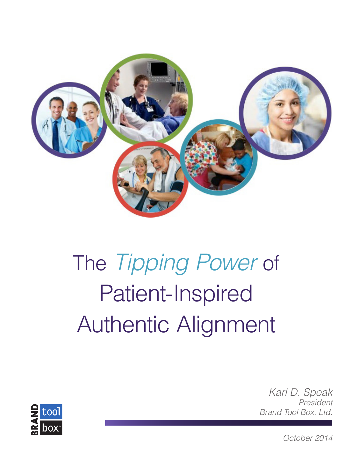

# The *Tipping Power* of Patient-Inspired Authentic Alignment



*Karl D. Speak President Brand Tool Box, Ltd.*

*October 2014*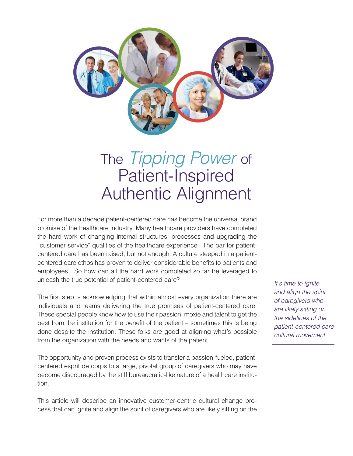

# The *Tipping Power* of Patient-Inspired Authentic Alignment

For more than a decade patient-centered care has become the universal brand promise of the healthcare industry. Many healthcare providers have completed the hard work of changing internal structures, processes and upgrading the "customer service" qualities of the healthcare experience. The bar for patientcentered care has been raised, but not enough. A culture steeped in a patientcentered care ethos has proven to deliver considerable benefits to patients and employees. So how can all the hard work completed so far be leveraged to unleash the true potential of patient-centered care?

The first step is acknowledging that within almost every organization there are individuals and teams delivering the true promises of patient-centered care. These special people know how to use their passion, moxie and talent to get the best from the institution for the benefit of the patient – sometimes this is being done despite the institution. These folks are good at aligning what's possible from the organization with the needs and wants of the patient.

The opportunity and proven process exists to transfer a passion-fueled, patientcentered esprit de corps to a large, pivotal group of caregivers who may have become discouraged by the stiff bureaucratic-like nature of a healthcare institution.

This article will describe an innovative customer-centric cultural change process that can ignite and align the spirit of caregivers who are likely sitting on the *It's time to ignite and align the spirit of caregivers who are likely sitting on the sidelines of the patient-centered care cultural movement.*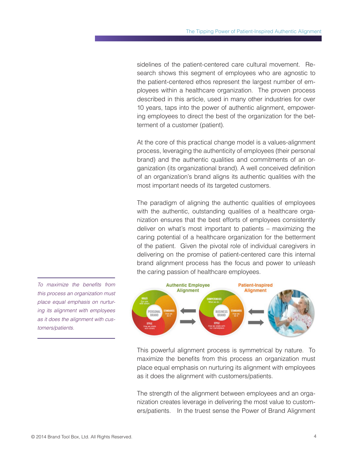sidelines of the patient-centered care cultural movement. Research shows this segment of employees who are agnostic to the patient-centered ethos represent the largest number of employees within a healthcare organization. The proven process described in this article, used in many other industries for over 10 years, taps into the power of authentic alignment, empowering employees to direct the best of the organization for the betterment of a customer (patient).

At the core of this practical change model is a values-alignment process, leveraging the authenticity of employees (their personal brand) and the authentic qualities and commitments of an organization (its organizational brand). A well conceived definition of an organization's brand aligns its authentic qualities with the most important needs of its targeted customers.

The paradigm of aligning the authentic qualities of employees with the authentic, outstanding qualities of a healthcare organization ensures that the best efforts of employees consistently deliver on what's most important to patients – maximizing the caring potential of a healthcare organization for the betterment of the patient. Given the pivotal role of individual caregivers in delivering on the promise of patient-centered care this internal brand alignment process has the focus and power to unleash the caring passion of healthcare employees.



This powerful alignment process is symmetrical by nature. To maximize the benefits from this process an organization must place equal emphasis on nurturing its alignment with employees as it does the alignment with customers/patients.

The strength of the alignment between employees and an organization creates leverage in delivering the most value to customers/patients. In the truest sense the Power of Brand Alignment

*To maximize the benefits from this process an organization must place equal emphasis on nurturing its alignment with employees as it does the alignment with customers/patients.*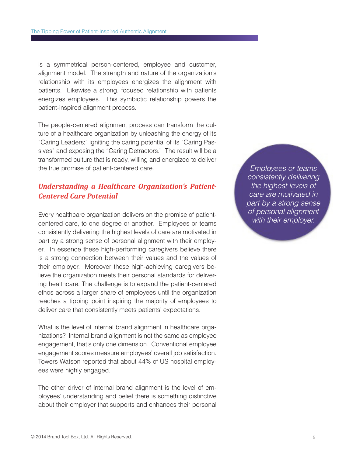is a symmetrical person-centered, employee and customer, alignment model. The strength and nature of the organization's relationship with its employees energizes the alignment with patients. Likewise a strong, focused relationship with patients energizes employees. This symbiotic relationship powers the patient-inspired alignment process.

The people-centered alignment process can transform the culture of a healthcare organization by unleashing the energy of its "Caring Leaders;" igniting the caring potential of its "Caring Passives" and exposing the "Caring Detractors." The result will be a transformed culture that is ready, willing and energized to deliver the true promise of patient-centered care.

## *Understanding a Healthcare Organization's Patient-Centered Care Potential*

Every healthcare organization delivers on the promise of patientcentered care, to one degree or another. Employees or teams consistently delivering the highest levels of care are motivated in part by a strong sense of personal alignment with their employer. In essence these high-performing caregivers believe there is a strong connection between their values and the values of their employer. Moreover these high-achieving caregivers believe the organization meets their personal standards for delivering healthcare. The challenge is to expand the patient-centered ethos across a larger share of employees until the organization reaches a tipping point inspiring the majority of employees to deliver care that consistently meets patients' expectations.

What is the level of internal brand alignment in healthcare organizations? Internal brand alignment is not the same as employee engagement, that's only one dimension. Conventional employee engagement scores measure employees' overall job satisfaction. Towers Watson reported that about 44% of US hospital employees were highly engaged.

The other driver of internal brand alignment is the level of employees' understanding and belief there is something distinctive about their employer that supports and enhances their personal

*Employees or teams consistently delivering the highest levels of care are motivated in part by a strong sense of personal alignment with their employer.*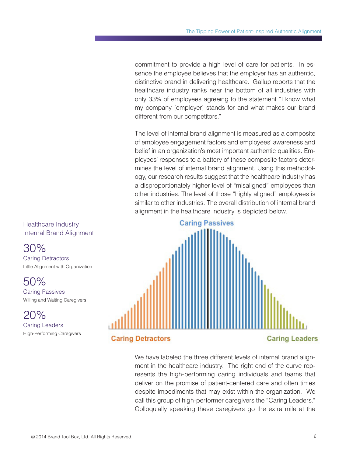commitment to provide a high level of care for patients. In essence the employee believes that the employer has an authentic, distinctive brand in delivering healthcare. Gallup reports that the healthcare industry ranks near the bottom of all industries with only 33% of employees agreeing to the statement "I know what my company [employer] stands for and what makes our brand different from our competitors."

The level of internal brand alignment is measured as a composite of employee engagement factors and employees' awareness and belief in an organization's most important authentic qualities. Employees' responses to a battery of these composite factors determines the level of internal brand alignment. Using this methodology, our research results suggest that the healthcare industry has a disproportionately higher level of "misaligned" employees than other industries. The level of those "highly aligned" employees is similar to other industries. The overall distribution of internal brand alignment in the healthcare industry is depicted below.



We have labeled the three different levels of internal brand alignment in the healthcare industry. The right end of the curve represents the high-performing caring individuals and teams that deliver on the promise of patient-centered care and often times despite impediments that may exist within the organization. We call this group of high-performer caregivers the "Caring Leaders." Colloquially speaking these caregivers go the extra mile at the

Healthcare Industry Internal Brand Alignment

# 30%

Caring Detractors Little Alignment with Organization

50% Caring Passives Willing and Waiting Caregivers

20% Caring Leaders High-Performing Caregivers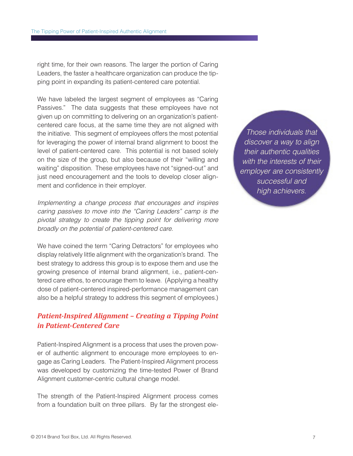right time, for their own reasons. The larger the portion of Caring Leaders, the faster a healthcare organization can produce the tipping point in expanding its patient-centered care potential.

We have labeled the largest segment of employees as "Caring Passives." The data suggests that these employees have not given up on committing to delivering on an organization's patientcentered care focus, at the same time they are not aligned with the initiative. This segment of employees offers the most potential for leveraging the power of internal brand alignment to boost the level of patient-centered care. This potential is not based solely on the size of the group, but also because of their "willing and waiting" disposition. These employees have not "signed-out" and just need encouragement and the tools to develop closer alignment and confidence in their employer.

*Implementing a change process that encourages and inspires caring passives to move into the "Caring Leaders" camp is the pivotal strategy to create the tipping point for delivering more broadly on the potential of patient-centered care.*

We have coined the term "Caring Detractors" for employees who display relatively little alignment with the organization's brand. The best strategy to address this group is to expose them and use the growing presence of internal brand alignment, i.e., patient-centered care ethos, to encourage them to leave. (Applying a healthy dose of patient-centered inspired-performance management can also be a helpful strategy to address this segment of employees.)

# *Patient-Inspired Alignment – Creating a Tipping Point in Patient-Centered Care*

Patient-Inspired Alignment is a process that uses the proven power of authentic alignment to encourage more employees to engage as Caring Leaders. The Patient-Inspired Alignment process was developed by customizing the time-tested Power of Brand Alignment customer-centric cultural change model.

The strength of the Patient-Inspired Alignment process comes from a foundation built on three pillars. By far the strongest ele-

*Those individuals that discover a way to align their authentic qualities with the interests of their employer are consistently successful and high achievers.*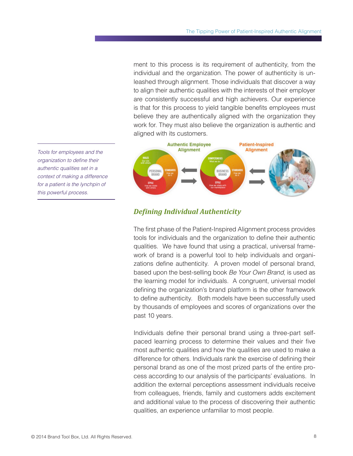ment to this process is its requirement of authenticity, from the individual and the organization. The power of authenticity is unleashed through alignment. Those individuals that discover a way to align their authentic qualities with the interests of their employer are consistently successful and high achievers. Our experience is that for this process to yield tangible benefits employees must believe they are authentically aligned with the organization they work for. They must also believe the organization is authentic and aligned with its customers.



*Defining Individual Authenticity*

The first phase of the Patient-Inspired Alignment process provides tools for individuals and the organization to define their authentic qualities. We have found that using a practical, universal framework of brand is a powerful tool to help individuals and organizations define authenticity. A proven model of personal brand, based upon the best-selling book *Be Your Own Brand*, is used as the learning model for individuals. A congruent, universal model defining the organization's brand platform is the other framework to define authenticity. Both models have been successfully used by thousands of employees and scores of organizations over the past 10 years.

Individuals define their personal brand using a three-part selfpaced learning process to determine their values and their five most authentic qualities and how the qualities are used to make a difference for others. Individuals rank the exercise of defining their personal brand as one of the most prized parts of the entire process according to our analysis of the participants' evaluations. In addition the external perceptions assessment individuals receive from colleagues, friends, family and customers adds excitement and additional value to the process of discovering their authentic qualities, an experience unfamiliar to most people.

*Tools for employees and the organization to define their authentic qualities set in a context of making a difference for a patient is the lynchpin of this powerful process.*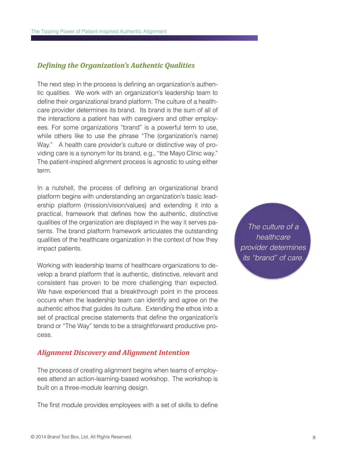#### *Defining the Organization's Authentic Qualities*

The next step in the process is defining an organization's authentic qualities. We work with an organization's leadership team to define their organizational brand platform. The culture of a healthcare provider determines its brand. Its brand is the sum of all of the interactions a patient has with caregivers and other employees. For some organizations "brand" is a powerful term to use, while others like to use the phrase "The (organization's name) Way." A health care provider's culture or distinctive way of providing care is a synonym for its brand, e.g., "the Mayo Clinic way." The patient-inspired alignment process is agnostic to using either term.

In a nutshell, the process of defining an organizational brand platform begins with understanding an organization's basic leadership platform (mission/vision/values) and extending it into a practical, framework that defines how the authentic, distinctive qualities of the organization are displayed in the way it serves patients. The brand platform framework articulates the outstanding qualities of the healthcare organization in the context of how they impact patients.

Working with leadership teams of healthcare organizations to develop a brand platform that is authentic, distinctive, relevant and consistent has proven to be more challenging than expected. We have experienced that a breakthrough point in the process occurs when the leadership team can identify and agree on the authentic ethos that guides its culture. Extending the ethos into a set of practical precise statements that define the organization's brand or "The Way" tends to be a straightforward productive process.

#### *Alignment Discovery and Alignment Intention*

The process of creating alignment begins when teams of employees attend an action-learning-based workshop. The workshop is built on a three-module learning design.

The first module provides employees with a set of skills to define

*The culture of a healthcare provider determines its "brand" of care.*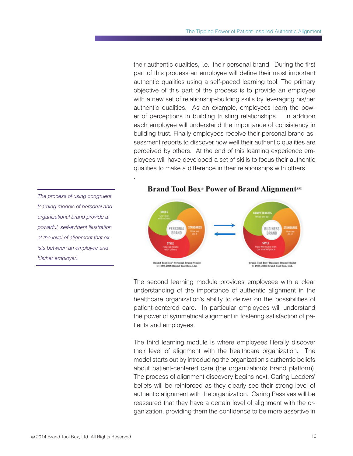their authentic qualities, i.e., their personal brand. During the first part of this process an employee will define their most important authentic qualities using a self-paced learning tool. The primary objective of this part of the process is to provide an employee with a new set of relationship-building skills by leveraging his/her authentic qualities. As an example, employees learn the power of perceptions in building trusting relationships. In addition each employee will understand the importance of consistency in building trust. Finally employees receive their personal brand assessment reports to discover how well their authentic qualities are perceived by others. At the end of this learning experience employees will have developed a set of skills to focus their authentic qualities to make a difference in their relationships with others



**Brand Tool Box**<sup>®</sup> Power of Brand Alignment<sup>sM</sup>

*The process of using congruent learning models of personal and organizational brand provide a powerful, self-evident illustration of the level of alignment that exists between an employee and his/her employer.*

.

The second learning module provides employees with a clear understanding of the importance of authentic alignment in the healthcare organization's ability to deliver on the possibilities of patient-centered care. In particular employees will understand the power of symmetrical alignment in fostering satisfaction of patients and employees.

The third learning module is where employees literally discover their level of alignment with the healthcare organization. The model starts out by introducing the organization's authentic beliefs about patient-centered care (the organization's brand platform). The process of alignment discovery begins next. Caring Leaders' beliefs will be reinforced as they clearly see their strong level of authentic alignment with the organization. Caring Passives will be reassured that they have a certain level of alignment with the organization, providing them the confidence to be more assertive in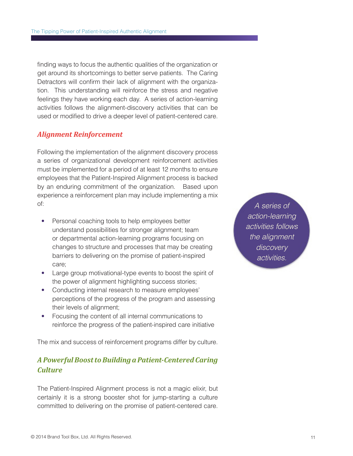finding ways to focus the authentic qualities of the organization or get around its shortcomings to better serve patients. The Caring Detractors will confirm their lack of alignment with the organization. This understanding will reinforce the stress and negative feelings they have working each day. A series of action-learning activities follows the alignment-discovery activities that can be used or modified to drive a deeper level of patient-centered care.

#### *Alignment Reinforcement*

Following the implementation of the alignment discovery process a series of organizational development reinforcement activities must be implemented for a period of at least 12 months to ensure employees that the Patient-Inspired Alignment process is backed by an enduring commitment of the organization. Based upon experience a reinforcement plan may include implementing a mix of:

- Personal coaching tools to help employees better understand possibilities for stronger alignment; team or departmental action-learning programs focusing on changes to structure and processes that may be creating barriers to delivering on the promise of patient-inspired care;
- Large group motivational-type events to boost the spirit of the power of alignment highlighting success stories;
- Conducting internal research to measure employees' perceptions of the progress of the program and assessing their levels of alignment;
- Focusing the content of all internal communications to reinforce the progress of the patient-inspired care initiative

The mix and success of reinforcement programs differ by culture.

### *A Powerful Boost to Building a Patient-Centered Caring Culture*

The Patient-Inspired Alignment process is not a magic elixir, but certainly it is a strong booster shot for jump-starting a culture committed to delivering on the promise of patient-centered care.

*A series of action-learning activities follows the alignment discovery activities.*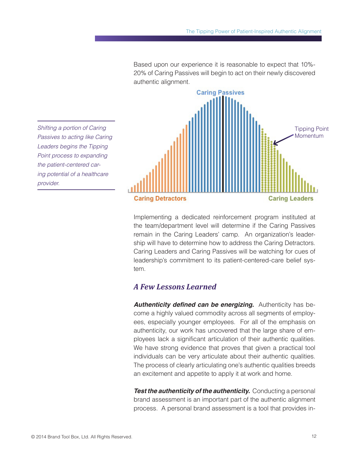Based upon our experience it is reasonable to expect that 10%- 20% of Caring Passives will begin to act on their newly discovered authentic alignment.



*Passives to acting like Caring Leaders begins the Tipping Point process to expanding the patient-centered caring potential of a healthcare provider.*

*Shifting a portion of Caring* 

Implementing a dedicated reinforcement program instituted at the team/department level will determine if the Caring Passives remain in the Caring Leaders' camp. An organization's leadership will have to determine how to address the Caring Detractors. Caring Leaders and Caring Passives will be watching for cues of leadership's commitment to its patient-centered-care belief system.

#### *A Few Lessons Learned*

*Authenticity defined can be energizing.* Authenticity has become a highly valued commodity across all segments of employees, especially younger employees. For all of the emphasis on authenticity, our work has uncovered that the large share of employees lack a significant articulation of their authentic qualities. We have strong evidence that proves that given a practical tool individuals can be very articulate about their authentic qualities. The process of clearly articulating one's authentic qualities breeds an excitement and appetite to apply it at work and home.

*Test the authenticity of the authenticity.* Conducting a personal brand assessment is an important part of the authentic alignment process. A personal brand assessment is a tool that provides in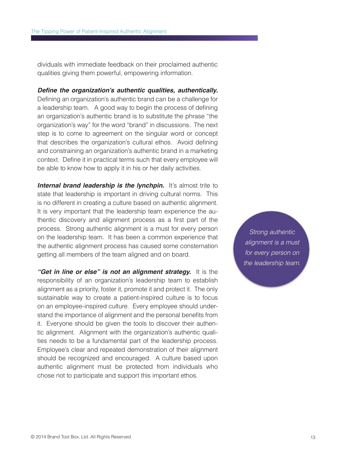dividuals with immediate feedback on their proclaimed authentic qualities giving them powerful, empowering information.

*Define the organization's authentic qualities, authentically.* Defining an organization's authentic brand can be a challenge for a leadership team. A good way to begin the process of defining an organization's authentic brand is to substitute the phrase "the organization's way" for the word "brand" in discussions. The next step is to come to agreement on the singular word or concept that describes the organization's cultural ethos. Avoid defining and constraining an organization's authentic brand in a marketing context. Define it in practical terms such that every employee will be able to know how to apply it in his or her daily activities.

**Internal brand leadership is the lynchpin.** It's almost trite to state that leadership is important in driving cultural norms. This is no different in creating a culture based on authentic alignment. It is very important that the leadership team experience the authentic discovery and alignment process as a first part of the process. Strong authentic alignment is a must for every person on the leadership team. It has been a common experience that the authentic alignment process has caused some consternation getting all members of the team aligned and on board.

*"Get in line or else" is not an alignment strategy.* It is the responsibility of an organization's leadership team to establish alignment as a priority, foster it, promote it and protect it. The only sustainable way to create a patient-inspired culture is to focus on an employee-inspired culture. Every employee should understand the importance of alignment and the personal benefits from it. Everyone should be given the tools to discover their authentic alignment. Alignment with the organization's authentic qualities needs to be a fundamental part of the leadership process. Employee's clear and repeated demonstration of their alignment should be recognized and encouraged. A culture based upon authentic alignment must be protected from individuals who chose not to participate and support this important ethos.

*Strong authentic alignment is a must for every person on the leadership team.*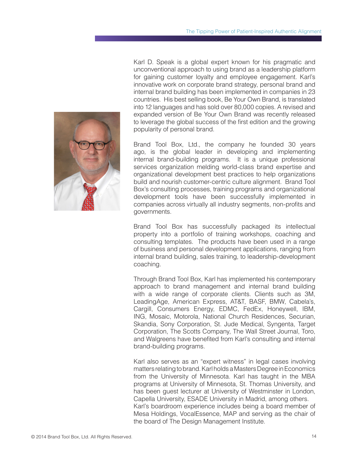

Karl D. Speak is a global expert known for his pragmatic and unconventional approach to using brand as a leadership platform for gaining customer loyalty and employee engagement. Karl's innovative work on corporate brand strategy, personal brand and internal brand building has been implemented in companies in 23 countries. His best selling book, Be Your Own Brand, is translated into 12 languages and has sold over 80,000 copies. A revised and expanded version of Be Your Own Brand was recently released to leverage the global success of the first edition and the growing popularity of personal brand.

Brand Tool Box, Ltd., the company he founded 30 years ago, is the global leader in developing and implementing internal brand-building programs. It is a unique professional services organization melding world-class brand expertise and organizational development best practices to help organizations build and nourish customer-centric culture alignment. Brand Tool Box's consulting processes, training programs and organizational development tools have been successfully implemented in companies across virtually all industry segments, non-profits and governments.

Brand Tool Box has successfully packaged its intellectual property into a portfolio of training workshops, coaching and consulting templates. The products have been used in a range of business and personal development applications, ranging from internal brand building, sales training, to leadership-development coaching.

Through Brand Tool Box, Karl has implemented his contemporary approach to brand management and internal brand building with a wide range of corporate clients. Clients such as 3M, LeadingAge, American Express, AT&T, BASF, BMW, Cabela's, Cargill, Consumers Energy, EDMC, FedEx, Honeywell, IBM, ING, Mosaic, Motorola, National Church Residences, Securian, Skandia, Sony Corporation, St. Jude Medical, Syngenta, Target Corporation, The Scotts Company, The Wall Street Journal, Toro, and Walgreens have benefited from Karl's consulting and internal brand-building programs.

Karl also serves as an "expert witness" in legal cases involving matters relating to brand. Karl holds a Masters Degree in Economics from the University of Minnesota. Karl has taught in the MBA programs at University of Minnesota, St. Thomas University, and has been guest lecturer at University of Westminster in London, Capella University, ESADE University in Madrid, among others. Karl's boardroom experience includes being a board member of Mesa Holdings, VocalEssence, MAP and serving as the chair of the board of The Design Management Institute.